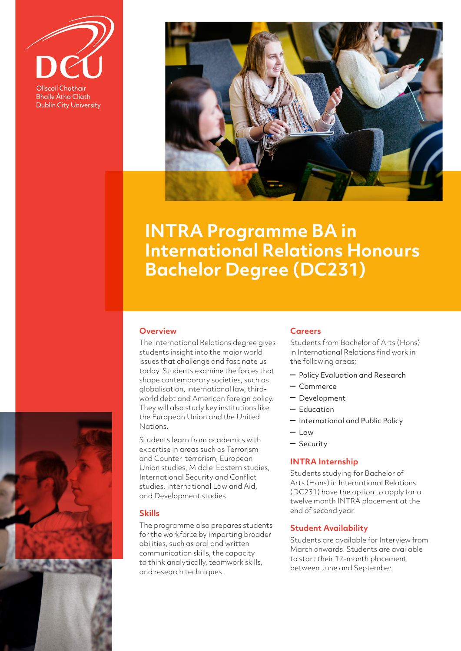

**Bhaile Átha Cliath Dublin City University** 



# **INTRA Programme BA in International Relations Honours Bachelor Degree (DC231)**

## **Overview**

The International Relations degree gives students insight into the major world issues that challenge and fascinate us today. Students examine the forces that shape contemporary societies, such as globalisation, international law, thirdworld debt and American foreign policy. They will also study key institutions like the European Union and the United Nations.

Students learn from academics with expertise in areas such as Terrorism and Counter-terrorism, European Union studies, Middle-Eastern studies, International Security and Conflict studies, International Law and Aid, and Development studies.

## **Skills**

The programme also prepares students for the workforce by imparting broader abilities, such as oral and written communication skills, the capacity to think analytically, teamwork skills, and research techniques.

## **Careers**

Students from Bachelor of Arts (Hons) in International Relations find work in the following areas;

- Policy Evaluation and Research
- Commerce
- Development
- Education
- International and Public Policy
- $-$  Law
- Security

### **INTRA Internship**

Students studying for Bachelor of Arts (Hons) in International Relations (DC231) have the option to apply for a twelve month INTRA placement at the end of second year.

## **Student Availability**

Students are available for Interview from March onwards. Students are available to start their 12-month placement between June and September.